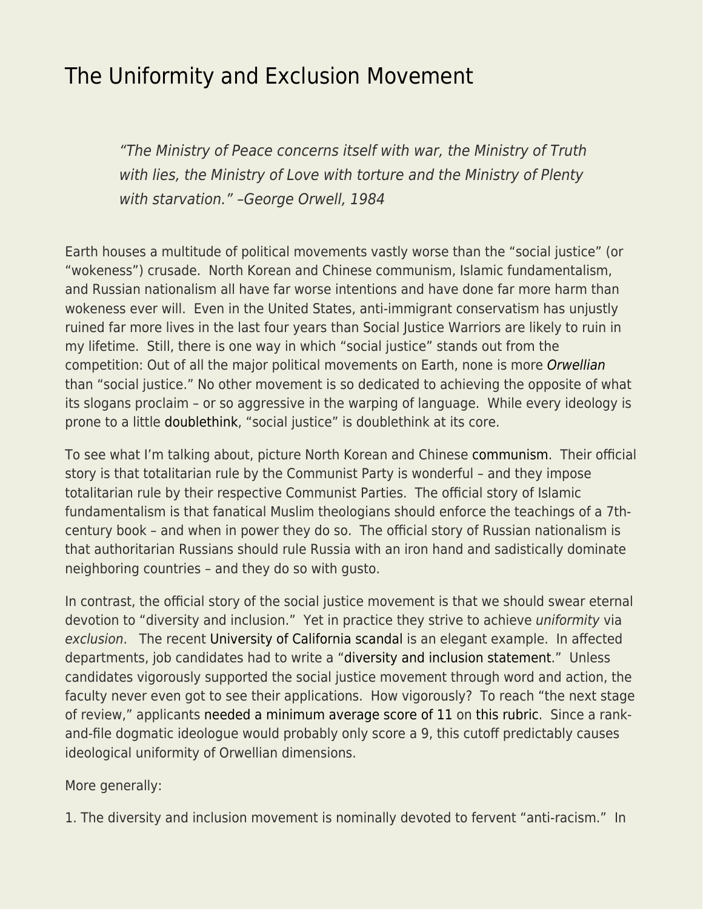## [The Uniformity and Exclusion Movement](https://everything-voluntary.com/the-uniformity-and-exclusion-movement)

"The Ministry of Peace concerns itself with war, the Ministry of Truth with lies, the Ministry of Love with torture and the Ministry of Plenty with starvation." –George Orwell, 1984

Earth houses a multitude of political movements vastly worse than the "social justice" (or "wokeness") crusade. North Korean and Chinese communism, Islamic fundamentalism, and Russian nationalism all have far worse intentions and have done far more harm than wokeness ever will. Even in the United States, anti-immigrant conservatism has unjustly ruined far more lives in the last four years than Social Justice Warriors are likely to ruin in my lifetime. Still, there is one way in which "social justice" stands out from the competition: Out of all the major political movements on Earth, none is more [Orwellian](https://en.wikipedia.org/wiki/Orwellian) than "social justice." No other movement is so dedicated to achieving the opposite of what its slogans proclaim – or so aggressive in the warping of language. While every ideology is prone to a little [doublethink](https://en.wikipedia.org/wiki/Doublethink), "social justice" is doublethink at its core.

To see what I'm talking about, picture North Korean and Chinese [communism.](https://www.econlib.org/library/Enc/Communism.html) Their official story is that totalitarian rule by the Communist Party is wonderful – and they impose totalitarian rule by their respective Communist Parties. The official story of Islamic fundamentalism is that fanatical Muslim theologians should enforce the teachings of a 7thcentury book – and when in power they do so. The official story of Russian nationalism is that authoritarian Russians should rule Russia with an iron hand and sadistically dominate neighboring countries – and they do so with gusto.

In contrast, the official story of the social justice movement is that we should swear eternal devotion to "diversity and inclusion." Yet in practice they strive to achieve uniformity via exclusion. The recent [University of California scandal](https://johnhcochrane.blogspot.com/2020/01/wokeademia.html) is an elegant example. In affected departments, job candidates had to write a "[diversity and inclusion statement](https://academicaffairs.ucdavis.edu/guidelines-writing-diversity-statement)." Unless candidates vigorously supported the social justice movement through word and action, the faculty never even got to see their applications. How vigorously? To reach "the next stage of review," applicants [needed a minimum average score of 11](https://ofew.berkeley.edu/sites/default/files/life_sciences_inititatve.year_end_report_summary.pdf) on [this rubric](http://ofew.berkeley.edu/sites/default/files/rubric_to_assess_candidate_contributions_to_diversity_equity_and_inclusion.pdf). Since a rankand-file dogmatic ideologue would probably only score a 9, this cutoff predictably causes ideological uniformity of Orwellian dimensions.

More generally:

1. The diversity and inclusion movement is nominally devoted to fervent "anti-racism." In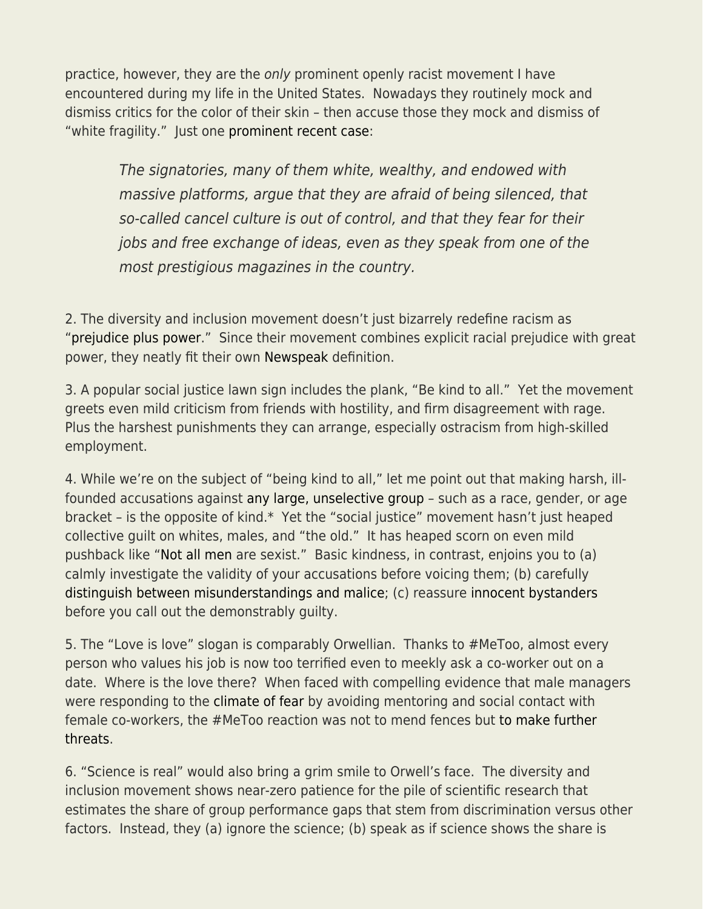practice, however, they are the only prominent openly racist movement I have encountered during my life in the United States. Nowadays they routinely mock and dismiss critics for the color of their skin – then accuse those they mock and dismiss of "white fragility." Just one [prominent recent case:](https://theobjective.substack.com/p/a-more-specific-letter-on-justice)

The signatories, many of them white, wealthy, and endowed with massive platforms, argue that they are afraid of being silenced, that so-called cancel culture is out of control, and that they fear for their jobs and free exchange of ideas, even as they speak from one of the most prestigious magazines in the country.

2. The diversity and inclusion movement doesn't just bizarrely redefine racism as ["prejudice plus power](https://en.wikipedia.org/wiki/Prejudice_plus_power#:~:text=The%20definition%20was%20first%20proposed,prejudice%20into%20an%20entire%20society.)." Since their movement combines explicit racial prejudice with great power, they neatly fit their own [Newspeak](https://en.wikipedia.org/wiki/Newspeak) definition.

3. A popular social justice lawn sign includes the plank, "Be kind to all." Yet the movement greets even mild criticism from friends with hostility, and firm disagreement with rage. Plus the harshest punishments they can arrange, especially ostracism from high-skilled employment.

4. While we're on the subject of "being kind to all," let me point out that making harsh, illfounded accusations against [any large, unselective group](https://www.econlib.org/archives/2014/10/dear_identity_p.html) – such as a race, gender, or age bracket – is the opposite of kind.\* Yet the "social justice" movement hasn't just heaped collective guilt on whites, males, and "the old." It has heaped scorn on even mild pushback like "[Not all men](https://en.wikipedia.org/wiki/NotAllMen) are sexist." Basic kindness, in contrast, enjoins you to (a) calmly investigate the validity of your accusations before voicing them; (b) carefully [distinguish between misunderstandings and malice](https://www.econlib.org/malevolence-and-misunderstanding/); (c) reassure [innocent bystanders](https://www.econlib.org/sorry-innocent-bystanders/) before you call out the demonstrably guilty.

5. The "Love is love" slogan is comparably Orwellian. Thanks to #MeToo, almost every person who values his job is now too terrified even to meekly ask a co-worker out on a date. Where is the love there? When faced with compelling evidence that male managers were responding to the [climate of fear](https://www.econlib.org/social-anxiety-metoo-and-disaster/) by avoiding mentoring and social contact with female co-workers, the #MeToo reaction was not to mend fences but [to make further](https://www.econlib.org/fear-of-mentoring/) [threats](https://www.econlib.org/fear-of-mentoring/).

6. "Science is real" would also bring a grim smile to Orwell's face. The diversity and inclusion movement shows near-zero patience for the pile of scientific research that estimates the share of group performance gaps that stem from discrimination versus other factors. Instead, they (a) ignore the science; (b) speak as if science shows the share is